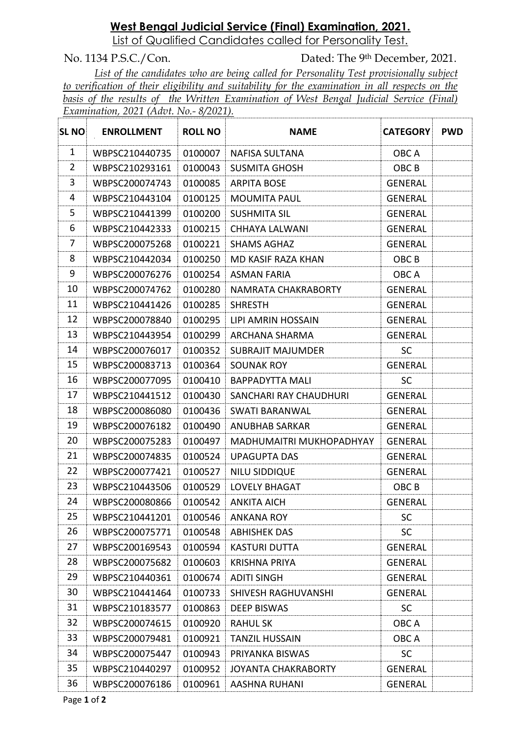# **West Bengal Judicial Service (Final) Examination, 2021.**

List of Qualified Candidates called for Personality Test.

No. 1134 P.S.C./Con. Dated: The 9th December, 2021. *List of the candidates who are being called for Personality Test provisionally subject to verification of their eligibility and suitability for the examination in all respects on the basis of the results of the Written Examination of West Bengal Judicial Service (Final) Examination, 2021 (Advt. No.- 8/2021).*

| <b>SL NO</b>   | <b>ENROLLMENT</b> | <b>ROLL NO</b> | <b>NAME</b>                | <b>CATEGORY</b>  | <b>PWD</b> |
|----------------|-------------------|----------------|----------------------------|------------------|------------|
| 1              | WBPSC210440735    | 0100007        | <b>NAFISA SULTANA</b>      | OBC A            |            |
| $\overline{2}$ | WBPSC210293161    | 0100043        | <b>SUSMITA GHOSH</b>       | OBC B            |            |
| 3              | WBPSC200074743    | 0100085        | <b>ARPITA BOSE</b>         | <b>GENERAL</b>   |            |
| 4              | WBPSC210443104    | 0100125        | <b>MOUMITA PAUL</b>        | <b>GENERAL</b>   |            |
| 5              | WBPSC210441399    | 0100200        | <b>SUSHMITA SIL</b>        | <b>GENERAL</b>   |            |
| 6              | WBPSC210442333    | 0100215        | CHHAYA LALWANI             | <b>GENERAL</b>   |            |
| $\overline{7}$ | WBPSC200075268    | 0100221        | <b>SHAMS AGHAZ</b>         | <b>GENERAL</b>   |            |
| 8              | WBPSC210442034    | 0100250        | MD KASIF RAZA KHAN         | OBC <sub>B</sub> |            |
| 9              | WBPSC200076276    | 0100254        | <b>ASMAN FARIA</b>         | OBC A            |            |
| 10             | WBPSC200074762    | 0100280        | NAMRATA CHAKRABORTY        | <b>GENERAL</b>   |            |
| 11             | WBPSC210441426    | 0100285        | <b>SHRESTH</b>             | <b>GENERAL</b>   |            |
| 12             | WBPSC200078840    | 0100295        | LIPI AMRIN HOSSAIN         | <b>GENERAL</b>   |            |
| 13             | WBPSC210443954    | 0100299        | ARCHANA SHARMA             | <b>GENERAL</b>   |            |
| 14             | WBPSC200076017    | 0100352        | <b>SUBRAJIT MAJUMDER</b>   | <b>SC</b>        |            |
| 15             | WBPSC200083713    | 0100364        | <b>SOUNAK ROY</b>          | <b>GENERAL</b>   |            |
| 16             | WBPSC200077095    | 0100410        | <b>BAPPADYTTA MALI</b>     | <b>SC</b>        |            |
| 17             | WBPSC210441512    | 0100430        | SANCHARI RAY CHAUDHURI     | <b>GENERAL</b>   |            |
| 18             | WBPSC200086080    | 0100436        | <b>SWATI BARANWAL</b>      | <b>GENERAL</b>   |            |
| 19             | WBPSC200076182    | 0100490        | <b>ANUBHAB SARKAR</b>      | <b>GENERAL</b>   |            |
| 20             | WBPSC200075283    | 0100497        | MADHUMAITRI MUKHOPADHYAY   | <b>GENERAL</b>   |            |
| 21             | WBPSC200074835    | 0100524        | <b>UPAGUPTA DAS</b>        | <b>GENERAL</b>   |            |
| 22             | WBPSC200077421    | 0100527        | <b>NILU SIDDIQUE</b>       | <b>GENERAL</b>   |            |
| 23             | WBPSC210443506    | 0100529        | <b>LOVELY BHAGAT</b>       | OBC B            |            |
| 24             | WBPSC200080866    | 0100542        | <b>ANKITA AICH</b>         | <b>GENERAL</b>   |            |
| 25             | WBPSC210441201    | 0100546        | <b>ANKANA ROY</b>          | <b>SC</b>        |            |
| 26             | WBPSC200075771    | 0100548        | <b>ABHISHEK DAS</b>        | <b>SC</b>        |            |
| 27             | WBPSC200169543    | 0100594        | <b>KASTURI DUTTA</b>       | <b>GENERAL</b>   |            |
| 28             | WBPSC200075682    | 0100603        | <b>KRISHNA PRIYA</b>       | <b>GENERAL</b>   |            |
| 29             | WBPSC210440361    | 0100674        | <b>ADITI SINGH</b>         | <b>GENERAL</b>   |            |
| 30             | WBPSC210441464    | 0100733        | SHIVESH RAGHUVANSHI        | GENERAL          |            |
| 31             | WBPSC210183577    | 0100863        | <b>DEEP BISWAS</b>         | <b>SC</b>        |            |
| 32             | WBPSC200074615    | 0100920        | <b>RAHUL SK</b>            | OBC A            |            |
| 33             | WBPSC200079481    | 0100921        | <b>TANZIL HUSSAIN</b>      | OBC A            |            |
| 34             | WBPSC200075447    | 0100943        | PRIYANKA BISWAS            | <b>SC</b>        |            |
| 35             | WBPSC210440297    | 0100952        | <b>JOYANTA CHAKRABORTY</b> | <b>GENERAL</b>   |            |
| 36             | WBPSC200076186    | 0100961        | AASHNA RUHANI              | GENERAL          |            |

Page **1** of **2**